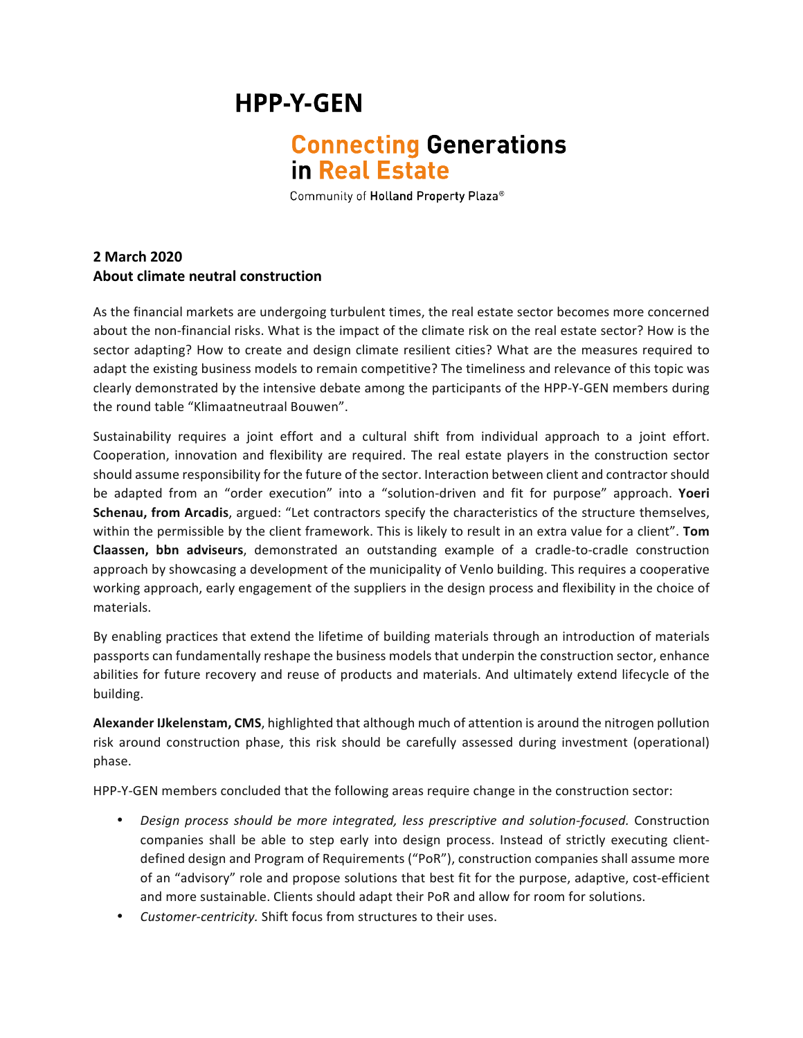## **HPP-Y-GEN**

## **Connecting Generations** in Real Estate

Community of Holland Property Plaza®

## **2 March 2020 About climate neutral construction**

As the financial markets are undergoing turbulent times, the real estate sector becomes more concerned about the non-financial risks. What is the impact of the climate risk on the real estate sector? How is the sector adapting? How to create and design climate resilient cities? What are the measures required to adapt the existing business models to remain competitive? The timeliness and relevance of this topic was clearly demonstrated by the intensive debate among the participants of the HPP-Y-GEN members during the round table "Klimaatneutraal Bouwen".

Sustainability requires a joint effort and a cultural shift from individual approach to a joint effort. Cooperation, innovation and flexibility are required. The real estate players in the construction sector should assume responsibility for the future of the sector. Interaction between client and contractor should be adapted from an "order execution" into a "solution-driven and fit for purpose" approach. Yoeri **Schenau, from Arcadis**, argued: "Let contractors specify the characteristics of the structure themselves, within the permissible by the client framework. This is likely to result in an extra value for a client". Tom **Claassen, bbn adviseurs**, demonstrated an outstanding example of a cradle-to-cradle construction approach by showcasing a development of the municipality of Venlo building. This requires a cooperative working approach, early engagement of the suppliers in the design process and flexibility in the choice of materials. 

By enabling practices that extend the lifetime of building materials through an introduction of materials passports can fundamentally reshape the business models that underpin the construction sector, enhance abilities for future recovery and reuse of products and materials. And ultimately extend lifecycle of the building.

**Alexander IJkelenstam, CMS**, highlighted that although much of attention is around the nitrogen pollution risk around construction phase, this risk should be carefully assessed during investment (operational) phase. 

HPP-Y-GEN members concluded that the following areas require change in the construction sector:

- *Design process should be more integrated, less prescriptive and solution-focused.* Construction companies shall be able to step early into design process. Instead of strictly executing clientdefined design and Program of Requirements ("PoR"), construction companies shall assume more of an "advisory" role and propose solutions that best fit for the purpose, adaptive, cost-efficient and more sustainable. Clients should adapt their PoR and allow for room for solutions.
- *Customer-centricity.* Shift focus from structures to their uses.